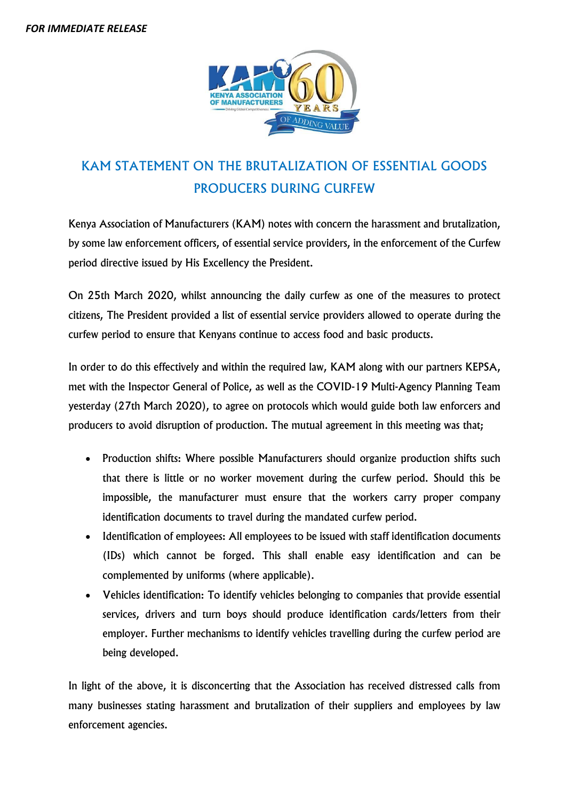

## KAM STATEMENT ON THE BRUTALIZATION OF ESSENTIAL GOODS PRODUCERS DURING CURFEW

Kenya Association of Manufacturers (KAM) notes with concern the harassment and brutalization, by some law enforcement officers, of essential service providers, in the enforcement of the Curfew period directive issued by His Excellency the President.

On 25th March 2020, whilst announcing the daily curfew as one of the measures to protect citizens, The President provided a list of essential service providers allowed to operate during the curfew period to ensure that Kenyans continue to access food and basic products.

In order to do this effectively and within the required law, KAM along with our partners KEPSA, met with the Inspector General of Police, as well as the COVID-19 Multi-Agency Planning Team yesterday (27th March 2020), to agree on protocols which would guide both law enforcers and producers to avoid disruption of production. The mutual agreement in this meeting was that;

- Production shifts: Where possible Manufacturers should organize production shifts such that there is little or no worker movement during the curfew period. Should this be impossible, the manufacturer must ensure that the workers carry proper company identification documents to travel during the mandated curfew period.
- Identification of employees: All employees to be issued with staff identification documents (IDs) which cannot be forged. This shall enable easy identification and can be complemented by uniforms (where applicable).
- Vehicles identification: To identify vehicles belonging to companies that provide essential services, drivers and turn boys should produce identification cards/letters from their employer. Further mechanisms to identify vehicles travelling during the curfew period are being developed.

In light of the above, it is disconcerting that the Association has received distressed calls from many businesses stating harassment and brutalization of their suppliers and employees by law enforcement agencies.